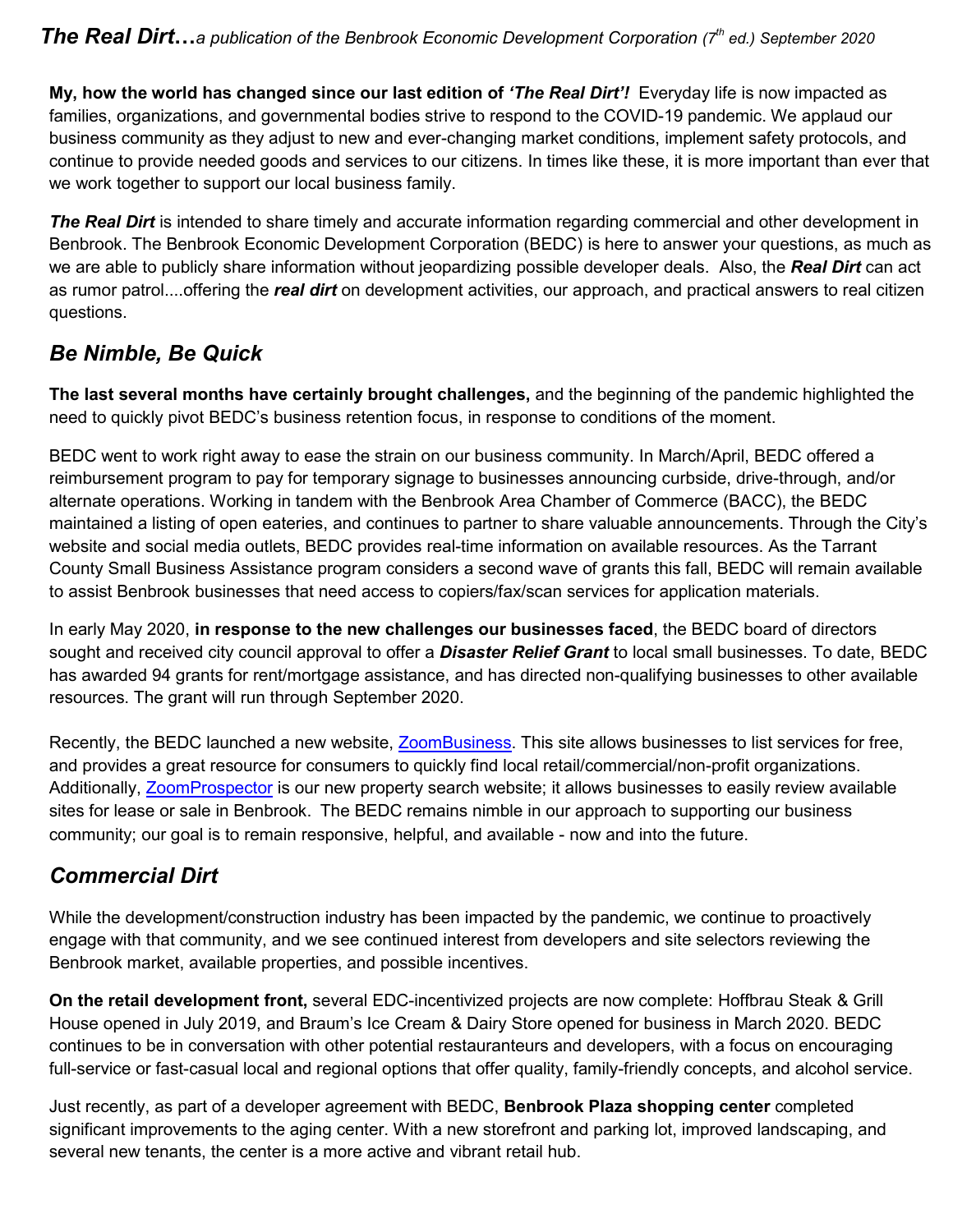**My, how the world has changed since our last edition of** *'The Real Dirt'!* Everyday life is now impacted as families, organizations, and governmental bodies strive to respond to the COVID-19 pandemic. We applaud our business community as they adjust to new and ever-changing market conditions, implement safety protocols, and continue to provide needed goods and services to our citizens. In times like these, it is more important than ever that we work together to support our local business family.

*The Real Dirt* is intended to share timely and accurate information regarding commercial and other development in Benbrook. The Benbrook Economic Development Corporation (BEDC) is here to answer your questions, as much as we are able to publicly share information without jeopardizing possible developer deals. Also, the *Real Dirt* can act as rumor patrol....offering the *real dirt* on development activities, our approach, and practical answers to real citizen questions.

# *Be Nimble, Be Quick*

**The last several months have certainly brought challenges,** and the beginning of the pandemic highlighted the need to quickly pivot BEDC's business retention focus, in response to conditions of the moment.

BEDC went to work right away to ease the strain on our business community. In March/April, BEDC offered a reimbursement program to pay for temporary signage to businesses announcing curbside, drive-through, and/or alternate operations. Working in tandem with the Benbrook Area Chamber of Commerce (BACC), the BEDC maintained a listing of open eateries, and continues to partner to share valuable announcements. Through the City's website and social media outlets, BEDC provides real-time information on available resources. As the Tarrant County Small Business Assistance program considers a second wave of grants this fall, BEDC will remain available to assist Benbrook businesses that need access to copiers/fax/scan services for application materials.

In early May 2020, **in response to the new challenges our businesses faced**, the BEDC board of directors sought and received city council approval to offer a *Disaster Relief Grant* to local small businesses. To date, BEDC has awarded 94 grants for rent/mortgage assistance, and has directed non-qualifying businesses to other available resources. The grant will run through September 2020.

Recently, the BEDC launched a new website, [ZoomBusiness.](https://covid-19.zoomprospector.com/BENBROOKTX?page=1&s%5BSortDirection%5D=false&s%5BSortBy%5D=name) This site allows businesses to list services for free, and provides a great resource for consumers to quickly find local retail/commercial/non-profit organizations. Additionally, [ZoomProspector](https://properties.zoomprospector.com/benbrooktx?page=1&s%5BSortDirection%5D=true&s%5BradiusLat%5D=0&s%5Bradius%5D=0&s%5BradiusLng%5D=0&s%5BSortBy%5D=featured&s%5BSizeUnits%5D=1) is our new property search website; it allows businesses to easily review available sites for lease or sale in Benbrook. The BEDC remains nimble in our approach to supporting our business community; our goal is to remain responsive, helpful, and available - now and into the future.

## *Commercial Dirt*

While the development/construction industry has been impacted by the pandemic, we continue to proactively engage with that community, and we see continued interest from developers and site selectors reviewing the Benbrook market, available properties, and possible incentives.

**On the retail development front,** several EDC-incentivized projects are now complete: Hoffbrau Steak & Grill House opened in July 2019, and Braum's Ice Cream & Dairy Store opened for business in March 2020. BEDC continues to be in conversation with other potential restauranteurs and developers, with a focus on encouraging full-service or fast-casual local and regional options that offer quality, family-friendly concepts, and alcohol service.

Just recently, as part of a developer agreement with BEDC, **Benbrook Plaza shopping center** completed significant improvements to the aging center. With a new storefront and parking lot, improved landscaping, and several new tenants, the center is a more active and vibrant retail hub.